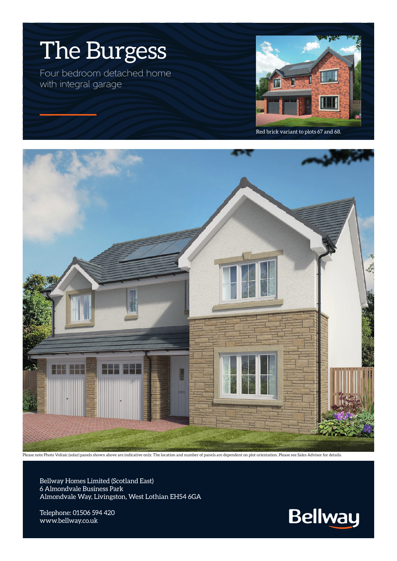

Red brick variant to plots 67 and 68.



Please note Photo Voltaic (solar) panels shown above are indicative only. The location and number of panels are dependent on plot orientation. Please see Sales Advisor for details.

Bellway Homes Limited (Scotland East) 6 Almondvale Business Park Almondvale Way, Livingston, West Lothian EH54 6GA

Telephone: 01506 594 420 www.bellway.co.uk